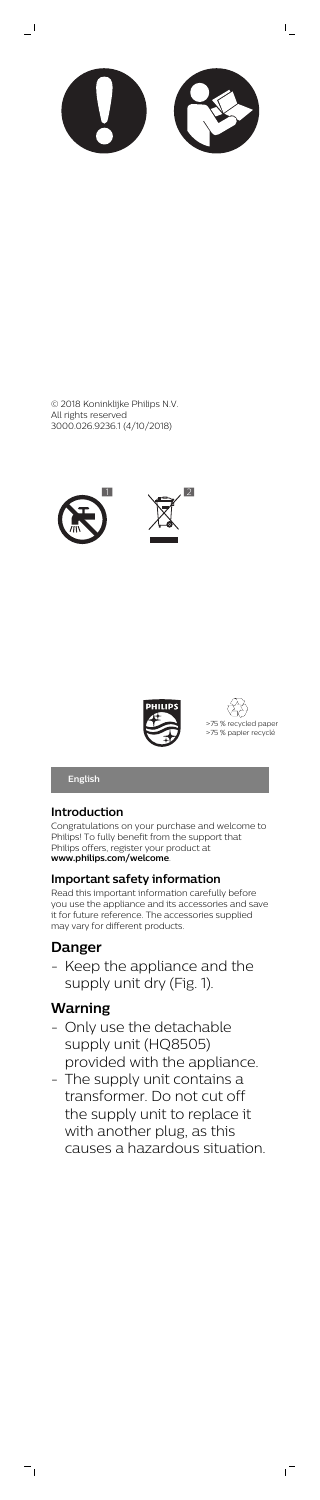

 $\mathsf{L}$ 

 $\mathbf{I}$ 







**English**

# **Introduction**

Congratulations on your purchase and welcome to Philips! To fully benefit from the support that Philips offers, register your product at **www.philips.com/welcome**.

## **Important safety information**

Keep the appliance and the supply unit dry (Fig. 1).

- Only use the detachable supply unit (HQ8505) provided with the appliance.
	- The supply unit contains a

Read this important information carefully before you use the appliance and its accessories and save it for future reference. The accessories supplied may vary for different products.

# **Danger**

# **Warning**

 $=$ <sub>1</sub>

transformer. Do not cut off the supply unit to replace it with another plug, as this causes a hazardous situation.

 $^{-}$ 

© 2018 Koninklijke Philips N.V. All rights reserved 3000.026.9236.1 (4/10/2018)

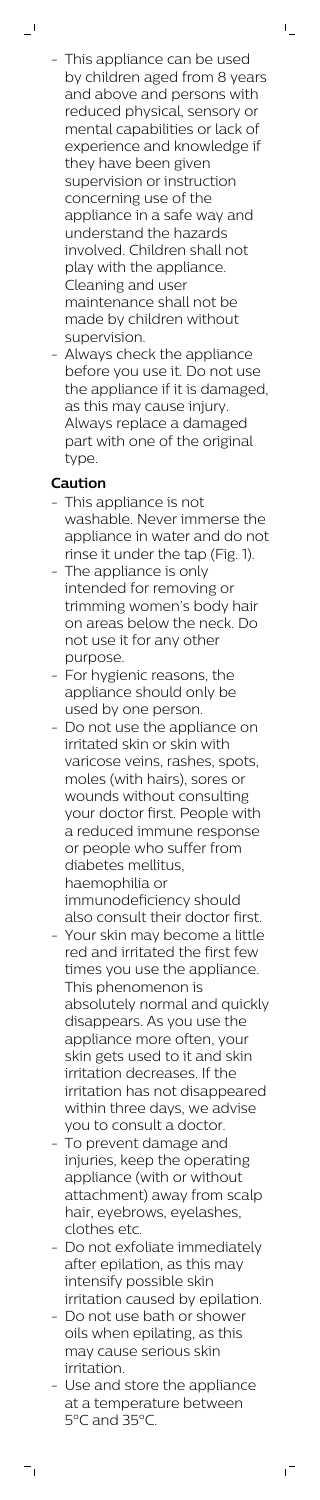This appliance can be used by children aged from 8 years and above and persons with reduced physical, sensory or mental capabilities or lack of experience and knowledge if they have been given supervision or instruction concerning use of the appliance in a safe way and understand the hazards involved. Children shall not play with the appliance. Cleaning and user maintenance shall not be made by children without supervision.

 $\mathbb{L}$ 

Always check the appliance before you use it. Do not use the appliance if it is damaged, as this may cause injury. Always replace a damaged part with one of the original type.

# **Caution**

 $\mathbf{I}$ 

- This appliance is not washable. Never immerse the appliance in water and do not rinse it under the tap (Fig. 1).
- The appliance is only intended for removing or trimming women's body hair on areas below the neck. Do not use it for any other purpose.
- For hygienic reasons, the appliance should only be used by one person.
- Do not use the appliance on irritated skin or skin with varicose veins, rashes, spots, moles (with hairs), sores or wounds without consulting your doctor first. People with a reduced immune response or people who suffer from diabetes mellitus, haemophilia or immunodeficiency should also consult their doctor first.
- Your skin may become a little red and irritated the first few times you use the appliance. This phenomenon is absolutely normal and quickly disappears. As you use the appliance more often, your skin gets used to it and skin irritation decreases. If the

- To prevent damage and injuries, keep the operating appliance (with or without attachment) away from scalp hair, eyebrows, eyelashes, clothes etc.
- Do not exfoliate immediately after epilation, as this may intensify possible skin irritation caused by epilation.
- Do not use bath or shower oils when epilating, as this may cause serious skin irritation.
- Use and store the appliance at a temperature between 5°C and 35°C.

 $^{-}$ 

 $\overline{\phantom{a}}_1$ 

irritation has not disappeared within three days, we advise you to consult a doctor.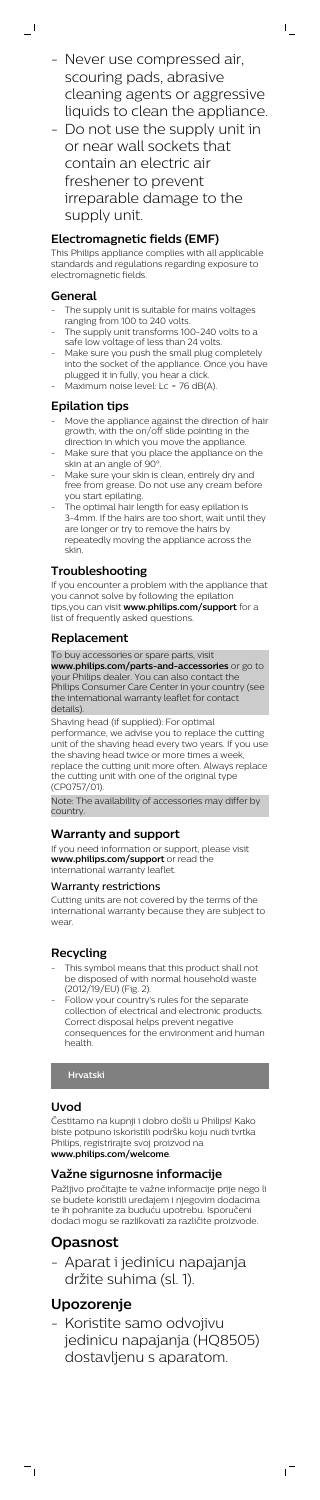- Never use compressed air, scouring pads, abrasive cleaning agents or aggressive liquids to clean the appliance.  $\mathsf{I}$ 

- Do not use the supply unit in or near wall sockets that contain an electric air freshener to prevent irreparable damage to the supply unit.

# **Electromagnetic fields (EMF)**

This Philips appliance complies with all applicable standards and regulations regarding exposure to electromagnetic fields.

- The supply unit is suitable for mains voltages ranging from 100 to 240 volts.
- The supply unit transforms 100-240 volts to a safe low voltage of less than 24 volts.
- Make sure you push the small plug completely into the socket of the appliance. Once you have plugged it in fully, you hear a click.
- Maximum noise level: Lc = 76 dB(A).

# **General**

 $\overline{\phantom{a}}$  (

- Move the appliance against the direction of hair growth, with the on/off slide pointing in the direction in which you move the appliance.
- Make sure that you place the appliance on the skin at an angle of 90°
- Make sure your skin is clean, entirely dry and free from grease. Do not use any cream before you start epilating.
- The optimal hair length for easy epilation is 3-4mm. If the hairs are too short, wait until they are longer or try to remove the hairs by repeatedly moving the appliance across the skin.

# **Epilation tips**

# **Troubleshooting**

- This symbol means that this product shall not be disposed of with normal household waste (2012/19/EU) (Fig. 2).
- Follow your country's rules for the separate collection of electrical and electronic products. Correct disposal helps prevent negative consequences for the environment and human health.

If you encounter a problem with the appliance that you cannot solve by following the epilation tips,you can visit **www.philips.com/support** for a list of frequently asked questions.

# **Replacement**

To buy accessories or spare parts, visit

**www.philips.com/parts-and-accessories** or go to your Philips dealer. You can also contact the Philips Consumer Care Center in your country (see the international warranty leaflet for contact details).

Shaving head (if supplied): For optimal

performance, we advise you to replace the cutting unit of the shaving head every two years. If you use the shaving head twice or more times a week, replace the cutting unit more often. Always replace the cutting unit with one of the original type (CP0757/01).

Note: The availability of accessories may differ by country.

# **Warranty and support**

If you need information or support, please visit **www.philips.com/support** or read the international warranty leaflet.

# Warranty restrictions

Cutting units are not covered by the terms of the international warranty because they are subject to wear.

# **Recycling**

# **Uvod**

Čestitamo na kupnji i dobro došli u Philips! Kako biste potpuno iskoristili podršku koju nudi tvrtka Philips, registrirajte svoj proizvod na **www.philips.com/welcome**.

# **Važne sigurnosne informacije**

Pažljivo pročitajte te važne informacije prije nego li se budete koristili uređajem i njegovim dodacima te ih pohranite za buduću upotrebu. Isporučeni dodaci mogu se razlikovati za različite proizvode.

# **Opasnost**

- Aparat i jedinicu napajanja držite suhima (sl. 1).

# **Upozorenje**

 $\frac{1}{\sqrt{2}}$ 

- Koristite samo odvojivu jedinicu napajanja (HQ8505) dostavljenu s aparatom.

ıT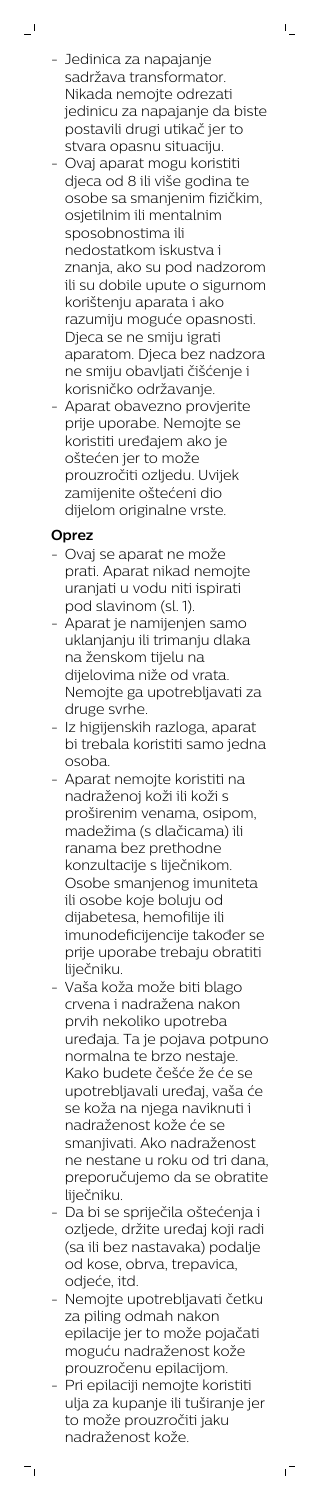- Jedinica za napajanje sadržava transformator. Nikada nemojte odrezati jedinicu za napajanje da biste postavili drugi utikač jer to stvara opasnu situaciju.

 $\mathbb{L}$ 

- Ovaj aparat mogu koristiti djeca od 8 ili više godina te osobe sa smanjenim fizičkim, osjetilnim ili mentalnim sposobnostima ili nedostatkom iskustva i znanja, ako su pod nadzorom ili su dobile upute o sigurnom korištenju aparata i ako razumiju moguće opasnosti. Djeca se ne smiju igrati aparatom. Djeca bez nadzora ne smiju obavljati čišćenje i korisničko održavanje.
- Aparat obavezno provjerite prije uporabe. Nemojte se koristiti uređajem ako je oštećen jer to može prouzročiti ozljedu. Uvijek zamijenite oštećeni dio dijelom originalne vrste.

# **Oprez**

 $\mathbf{I}$ 

- Ovaj se aparat ne može prati. Aparat nikad nemojte uranjati u vodu niti ispirati pod slavinom (sl. 1).
- Aparat je namijenjen samo uklanjanju ili trimanju dlaka na ženskom tijelu na dijelovima niže od vrata. Nemojte ga upotrebljavati za druge svrhe.
- Iz higijenskih razloga, aparat bi trebala koristiti samo jedna osoba.
- Aparat nemojte koristiti na nadraženoj koži ili koži s proširenim venama, osipom, madežima (s dlačicama) ili ranama bez prethodne konzultacije s liječnikom. Osobe smanjenog imuniteta ili osobe koje boluju od dijabetesa, hemofilije ili imunodeficijencije također se prije uporabe trebaju obratiti liječniku.
- Vaša koža može biti blago crvena i nadražena nakon prvih nekoliko upotreba uređaja. Ta je pojava potpuno normalna te brzo nestaje. Kako budete češće že će se

upotrebljavali uređaj, vaša će se koža na njega naviknuti i nadraženost kože će se smanjivati. Ako nadraženost ne nestane u roku od tri dana, preporučujemo da se obratite liječniku.

- Da bi se spriječila oštećenja i ozljede, držite uređaj koji radi (sa ili bez nastavaka) podalje od kose, obrva, trepavica, odjeće, itd.
- Nemojte upotrebljavati četku za piling odmah nakon epilacije jer to može pojačati moguću nadraženost kože prouzročenu epilacijom.
- Pri epilaciji nemojte koristiti ulja za kupanje ili tuširanje jer to može prouzročiti jaku nadraženost kože.

 $\sqrt{2}$ 

 $\overline{\phantom{a}}_1$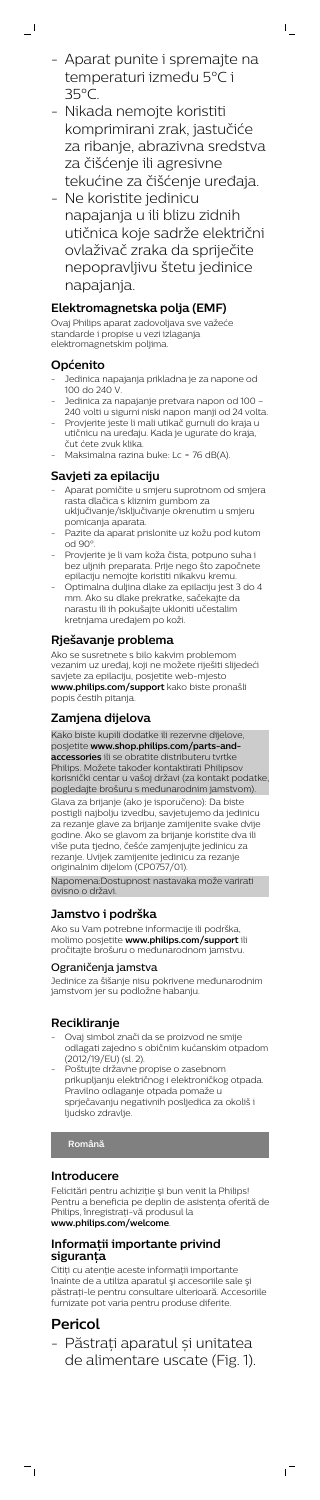- Aparat punite i spremajte na temperaturi između 5°C i 35°C.

 $\mathsf{I}$ 

- Nikada nemojte koristiti komprimirani zrak, jastučiće za ribanje, abrazivna sredstva za čišćenje ili agresivne tekućine za čišćenje uređaja.
- Ne koristite jedinicu napajanja u ili blizu zidnih utičnica koje sadrže električni ovlaživač zraka da spriječite nepopravljivu štetu jedinice napajanja.

- Jedinica napajanja prikladna je za napone od 100 do 240 V.
- Jedinica za napajanje pretvara napon od 100 240 volti u sigurni niski napon manji od 24 volta.
- Provjerite jeste li mali utikač gurnuli do kraja u utičnicu na uređaju. Kada je ugurate do kraja, čut ćete zvuk klika.
- Maksimalna razina buke: Lc = 76 dB(A).

# **Elektromagnetska polja (EMF)**

Ovaj Philips aparat zadovoljava sve važeće standarde i propise u vezi izlaganja elektromagnetskim poljima.

## **Općenito**

 $\overline{a}$ 

## **Savjeti za epilaciju**

- Aparat pomičite u smjeru suprotnom od smjera rasta dlačica s kliznim gumbom za uključivanje/isključivanje okrenutim u smjeru pomicanja aparata.
- Pazite da aparat prislonite uz kožu pod kutom od 90°.
- Provjerite je li vam koža čista, potpuno suha i bez uljnih preparata. Prije nego što započnete epilaciju nemojte koristiti nikakvu kremu.
- Optimalna duljina dlake za epilaciju jest 3 do 4 mm. Ako su dlake prekratke, sačekajte da narastu ili ih pokušajte ukloniti učestalim kretnjama uređajem po koži.

- Ovaj simbol znači da se proizvod ne smije odlagati zajedno s običnim kućanskim otpadom (2012/19/EU) (sl. 2).
- Poštujte državne propise o zasebnom prikupljanju električnog i elektroničkog

## **Rješavanje problema**

Ako se susretnete s bilo kakvim problemom vezanim uz uređaj, koji ne možete riješiti slijedeći savjete za epilaciju, posjetite web-mjesto **www.philips.com/support** kako biste pronašli popis čestih pitanja.

Felicitări pentru achiziție și bun venit la Philips! Pentru a beneficia pe deplin de asistenţa oferită de Philips, înregistraţi-vă produsul la **www.philips.com/welcome**.

## **Zamjena dijelova**

Citiți cu atenție aceste informații importante înainte de a utiliza aparatul şi accesoriile sale şi păstraţi-le pentru consultare ulterioară. Accesoriile furnizate pot varia pentru produse diferite.

Kako biste kupili dodatke ili rezervne dijelove, posjetite **www.shop.philips.com/parts-andaccessories** ili se obratite distributeru tvrtke Philips. Možete također kontaktirati Philipsov korisnički centar u vašoj državi (za kontakt podatke, pogledajte brošuru s međunarodnim jamstvom). Glava za brijanje (ako je isporučeno): Da biste postigli najbolju izvedbu, savjetujemo da jedinicu za rezanje glave za brijanje zamijenite svake dvije godine. Ako se glavom za brijanje koristite dva ili više puta tjedno, češće zamjenjujte jedinicu za rezanje. Uvijek zamijenite jedinicu za rezanje originalnim dijelom (CP0757/01). Napomena:Dostupnost nastavaka može varirati ovisno o državi.

## **Jamstvo i podrška**

Ako su Vam potrebne informacije ili podrška, molimo posjetite **www.philips.com/support** ili pročitajte brošuru o međunarodnom jamstvu.

#### Ograničenja jamstva

Jedinice za šišanje nisu pokrivene međunarodnim jamstvom jer su podložne habanju.

## **Recikliranje**

Pravilno odlaganje otpada pomaže u sprječavanju negativnih posljedica za okoliš i ljudsko zdravlje.

# **Română**

# **Introducere**

# **Informaţii importante privind siguranţa**

# **Pericol**

 $\overline{a}$ 

- Păstrați aparatul și unitatea de alimentare uscate (Fig. 1).

 $\sqrt{ }$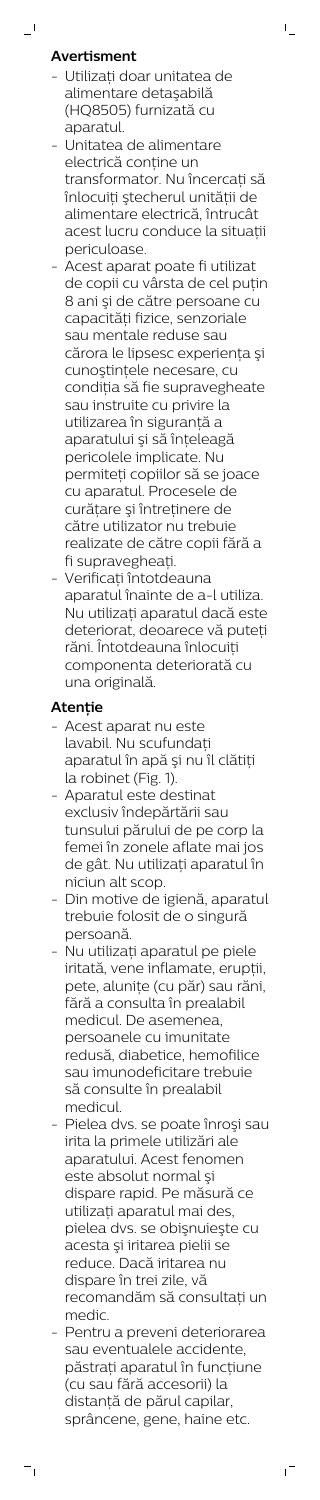# **Avertisment**

 $\mathbf{I}$ 

- Utilizaţi doar unitatea de alimentare detaşabilă (HQ8505) furnizată cu aparatul.

 $\mathbb{L}$ 

- Unitatea de alimentare electrică conține un transformator. Nu încercați să înlocuiți ștecherul unității de alimentare electrică, întrucât acest lucru conduce la situaţii periculoase.
- Acest aparat poate fi utilizat de copii cu vârsta de cel puțin 8 ani şi de către persoane cu capacități fizice, senzoriale sau mentale reduse sau cărora le lipsesc experiența și cunoștințele necesare, cu condiția să fie supravegheate sau instruite cu privire la utilizarea în siguranţă a aparatului şi să înţeleagă pericolele implicate. Nu permiteţi copiilor să se joace cu aparatul. Procesele de curățare și întreținere de către utilizator nu trebuie realizate de către copii fără a fi supravegheaţi.
- Verificati întotdeauna aparatul înainte de a-l utiliza. Nu utilizaţi aparatul dacă este deteriorat, deoarece vă puteți răni. Întotdeauna înlocuiţi componenta deteriorată cu una originală.

# **Atenţie**

- Acest aparat nu este lavabil. Nu scufundaţi aparatul în apă şi nu îl clătiţi la robinet (Fig. 1).
- Aparatul este destinat exclusiv îndepărtării sau tunsului părului de pe corp la femei în zonele aflate mai jos de gât. Nu utilizaţi aparatul în niciun alt scop.
- Din motive de igienă, aparatul trebuie folosit de o singură persoană.
- Nu utilizaţi aparatul pe piele iritată, vene inflamate, erupţii, pete, aluniţe (cu păr) sau răni, fără a consulta în prealabil medicul. De asemenea, persoanele cu imunitate redusă, diabetice, hemofilice sau imunodeficitare trebuie

să consulte în prealabil medicul.

- Pielea dvs. se poate înroşi sau irita la primele utilizări ale aparatului. Acest fenomen este absolut normal şi dispare rapid. Pe măsură ce utilizaţi aparatul mai des, pielea dvs. se obişnuieşte cu acesta şi iritarea pielii se reduce. Dacă iritarea nu dispare în trei zile, vă recomandăm să consultaţi un medic.
- Pentru a preveni deteriorarea sau eventualele accidente, păstrați aparatul în funcțiune (cu sau fără accesorii) la distanţă de părul capilar, sprâncene, gene, haine etc.

ıT

 $\overline{\phantom{a}}_1$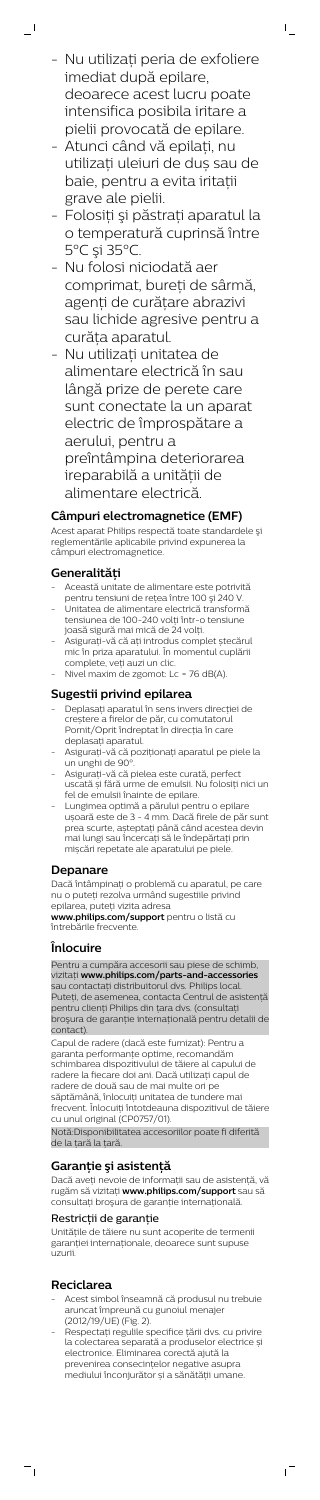- Nu utilizaţi peria de exfoliere imediat după epilare, deoarece acest lucru poate intensifica posibila iritare a pielii provocată de epilare.

 $\mathsf{I}$ 

 $\overline{a}$ 

- Atunci când vă epilați, nu utilizați uleiuri de duș sau de baie, pentru a evita iritații grave ale pielii.
- Folosiţi şi păstraţi aparatul la o temperatură cuprinsă între 5°C şi 35°C.
- Nu folosi niciodată aer comprimat, bureți de sârmă, agenți de curățare abrazivi sau lichide agresive pentru a curăța aparatul.
- Nu utilizaţi unitatea de alimentare electrică în sau lângă prize de perete care sunt conectate la un aparat electric de împrospătare a aerului, pentru a preîntâmpina deteriorarea ireparabilă a unităţii de alimentare electrică.

## **Câmpuri electromagnetice (EMF)**

Acest aparat Philips respectă toate standardele şi reglementările aplicabile privind expunerea la câmpuri electromagnetice.

## **Generalităţi**

- Această unitate de alimentare este potrivită pentru tensiuni de reţea între 100 şi 240 V.
- Unitatea de alimentare electrică transformă tensiunea de 100-240 volţi într-o tensiune joasă sigură mai mică de 24 volţi.
- Asigurați-vă că ați introdus complet ștecărul mic în priza aparatului. În momentul cuplării complete, veți auzi un clic.
- Nivel maxim de zgomot: Lc = 76 dB(A).

## **Sugestii privind epilarea**

Notă:Disponibilitatea accesoriilor poate fi diferită de la țară la țară.

Dacă aveţi nevoie de informaţii sau de asistenţă, vă rugăm să vizitaţi **www.philips.com/support** sau să consultați broșura de garanție internațională.

Unitățile de tăiere nu sunt acoperite de termenii garanției internaționale, deoarece sunt supuse uzurii.

- Deplasați aparatul în sens invers direcției de creștere a firelor de păr, cu comutatorul Pornit/Oprit îndreptat în direcția în care deplasați aparatul.
- Asigurați-vă că poziționați aparatul pe piele la un unghi de 90°.
- Asigurați-vă că pielea este curată, perfect uscată și fără urme de emulsii. Nu folosiți nici un fel de emulsii înainte de epilare.
- Lungimea optimă a părului pentru o epilare ușoară este de 3 - 4 mm. Dacă firele de păr sunt prea scurte, așteptați până când acestea devin mai lungi sau încercați să le îndepărtați prin mișcări repetate ale aparatului pe piele.

#### **Depanare**

Dacă întâmpinați o problemă cu aparatul, pe care nu o puteți rezolva urmând sugestiile privind epilarea, puteți vizita adresa

**www.philips.com/support** pentru o listă cu întrebările frecvente.

## **Înlocuire**

Pentru a cumpăra accesorii sau piese de schimb, vizitați **www.philips.com/parts-and-accessories** sau contactați distribuitorul dvs. Philips local. Puteţi, de asemenea, contacta Centrul de asistenţă pentru clienţi Philips din ţara dvs. (consultaţi broşura de garanţie internaţională pentru detalii de contact).

Capul de radere (dacă este furnizat): Pentru a garanta performanțe optime, recomandăm schimbarea dispozitivului de tăiere al capului de radere la fiecare doi ani. Dacă utilizați capul de radere de două sau de mai multe ori pe săptămână, înlocuiți unitatea de tundere mai frecvent. Înlocuiți întotdeauna dispozitivul de tăiere cu unul original (CP0757/01).

# **Garanţie şi asistenţă**

# Restricţii de garanţie

# **Reciclarea**

 $\overline{a}$ 

- Acest simbol înseamnă că produsul nu trebuie aruncat împreună cu gunoiul menajer (2012/19/UE) (Fig. 2).
- Respectați regulile specifice țării dvs. cu privire la colectarea separată a produselor electrice și electronice. Eliminarea corectă ajută la prevenirea consecințelor negative asupra mediului înconjurător și a sănătății umane.

 $\sqrt{2}$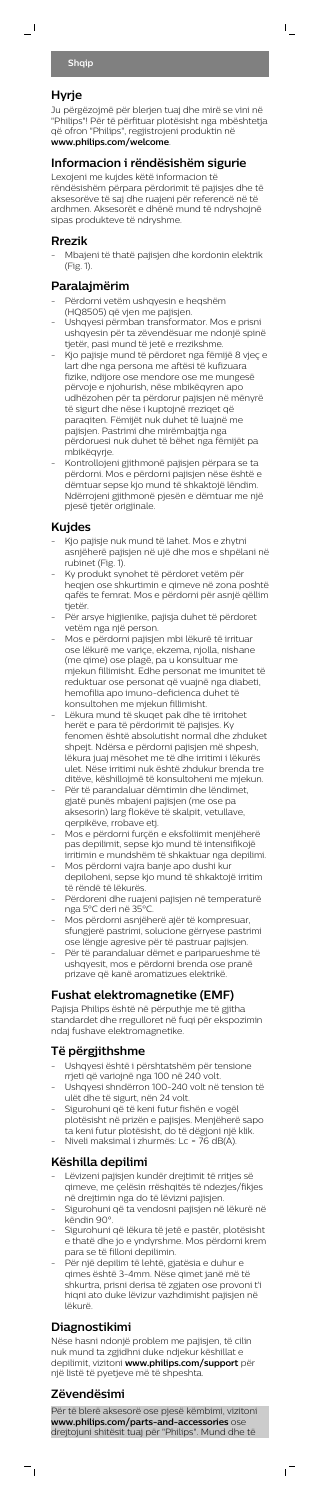# **Hyrje**

 $\overline{\phantom{0}}$ 

Ju përgëzojmë për blerjen tuaj dhe mirë se vini në "Philips"! Për të përfituar plotësisht nga mbështetja që ofron "Philips", regjistrojeni produktin në **www.philips.com/welcome**.

 $\mathsf{I}$ 

## **Informacion i rëndësishëm sigurie**

Lexojeni me kujdes këtë informacion të rëndësishëm përpara përdorimit të pajisjes dhe të aksesorëve të saj dhe ruajeni për referencë në të ardhmen. Aksesorët e dhënë mund të ndryshojnë sipas produkteve të ndryshme.

#### **Rrezik**

- Mbajeni të thatë pajisjen dhe kordonin elektrik (Fig. 1).

## **Paralajmërim**

- Përdorni vetëm ushqyesin e heqshëm
- (HQ8505) që vjen me pajisjen. - Ushqyesi përmban transformator. Mos e prisni ushqyesin për ta zëvendësuar me ndonjë spinë
- tjetër, pasi mund të jetë e rrezikshme. - Kjo pajisje mund të përdoret nga fëmijë 8 vjeç e lart dhe nga persona me aftësi të kufizuara fizike, ndijore ose mendore ose me mungesë përvoje e njohurish, nëse mbikëqyren apo udhëzohen për ta përdorur pajisjen në mënyrë të sigurt dhe nëse i kuptojnë rreziqet që paraqiten. Fëmijët nuk duhet të luajnë me pajisjen. Pastrimi dhe mirëmbajtja nga përdoruesi nuk duhet të bëhet nga fëmijët pa mbikëqyrje.
- Kontrollojeni gjithmonë pajisjen përpara se ta përdorni. Mos e përdorni pajisjen nëse është e dëmtuar sepse kjo mund të shkaktojë lëndim. Ndërrojeni gjithmonë pjesën e dëmtuar me një pjesë tjetër origjinale.

#### **Kujdes**

- Lëvizeni pajisjen kundër drejtimit të rritjes së qimeve, me çelësin rrëshqitës të ndezjes/fikjes në drejtimin nga do të lëvizni pajisjen.
- Sigurohuni që ta vendosni pajisjen në lëkurë në këndin 90°.
- Sigurohuni që lëkura të jetë e pastër, plotësisht e thatë dhe jo e yndyrshme. Mos përdorni krem para se të filloni depilimin.
- Për një depilim të lehtë, gjatësia e duhur e qimes është 3-4mm. Nëse qimet janë më të shkurtra, prisni derisa të zgjaten ose provoni t'i hiqni ato duke lëvizur vazhdimisht pajisjen në lëkurë.
- Kjo pajisje nuk mund të lahet. Mos e zhytni asnjëherë pajisjen në ujë dhe mos e shpëlani në rubinet (Fig. 1).
- Ky produkt synohet të përdoret vetëm për heqjen ose shkurtimin e qimeve në zona poshtë qafës te femrat. Mos e përdorni për asnjë qëllim tjetër.
- Për arsye higjienike, pajisja duhet të përdoret vetëm nga një person.
- Mos e përdorni pajisjen mbi lëkurë të irrituar ose lëkurë me variçe, ekzema, njolla, nishane (me qime) ose plagë, pa u konsultuar me mjekun fillimisht. Edhe personat me imunitet të reduktuar ose personat që vuajnë nga diabeti, hemofilia apo imuno-deficienca duhet të konsultohen me mjekun fillimisht.
- Lëkura mund të skuqet pak dhe të irritohet herët e para të përdorimit të pajisjes. Ky fenomen është absolutisht normal dhe zhduket shpejt. Ndërsa e përdorni pajisjen më shpesh, lëkura juaj mësohet me të dhe irritimi i lëkurës ulet. Nëse irritimi nuk është zhdukur brenda tre ditëve, këshillojmë të konsultoheni me mjekun.
- Për të parandaluar dëmtimin dhe lëndimet, gjatë punës mbajeni pajisjen (me ose pa aksesorin) larg flokëve të skalpit, vetullave, qerpikëve, rrobave etj.
- Mos e përdorni furçën e eksfoliimit menjëherë pas depilimit, sepse kjo mund të intensifikojë irritimin e mundshëm të shkaktuar nga depilimi.
- Mos përdorni vajra banje apo dushi kur depiloheni, sepse kjo mund të shkaktojë irritim të rëndë të lëkurës.
- Përdoreni dhe ruajeni pajisjen në temperaturë nga 5°C deri në 35°C.
- Mos përdorni asnjëherë ajër të kompresuar, sfungjerë pastrimi, solucione gërryese pastrimi ose lëngje agresive për të pastruar pajisjen.
- Për të parandaluar dëmet e pariparueshme të ushqyesit, mos e përdorni brenda ose pranë prizave që kanë aromatizues elektrikë.

#### **Fushat elektromagnetike (EMF)**

Pajisja Philips është në përputhje me të gjitha standardet dhe rregulloret në fuqi për ekspozimin ndaj fushave elektromagnetike.

# **Të përgjithshme**

- Ushqyesi është i përshtatshëm për tensione rrjeti që variojnë nga 100 në 240 volt. - Ushqyesi shndërron 100-240 volt në tension të ulët dhe të sigurt, nën 24 volt. - Sigurohuni që të keni futur fishën e vogël plotësisht në prizën e pajisjes. Menjëherë sapo ta keni futur plotësisht, do të dëgjoni një klik.
- Niveli maksimal i zhurmës: Lc = 76 dB(A).

# **Këshilla depilimi**

# **Diagnostikimi**

Nëse hasni ndonjë problem me pajisjen, të cilin nuk mund ta zgjidhni duke ndjekur këshillat e depilimit, vizitoni **www.philips.com/support** për një listë të pyetjeve më të shpeshta.

# **Zëvendësimi**

 $\frac{1}{\sqrt{2}}$ 

Për të blerë aksesorë ose pjesë këmbimi, vizitoni **www.philips.com/parts-and-accessories** ose drejtojuni shitësit tuaj për "Philips". Mund dhe të

 $\sqrt{2}$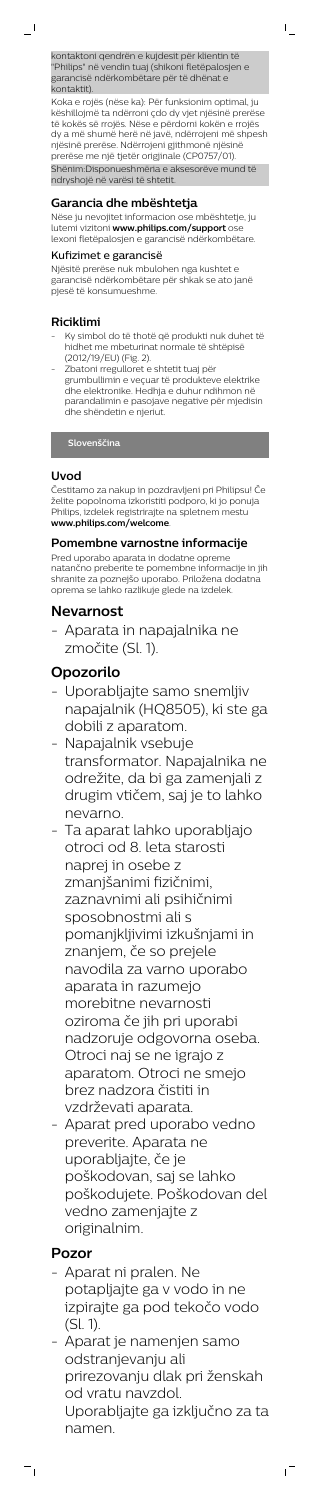kontaktoni qendrën e kujdesit për klientin të "Philips" në vendin tuaj (shikoni fletëpalosjen e garancisë ndërkombëtare për të dhënat e kontaktit).

 $\mathsf{I}$ 

Koka e rojës (nëse ka): Për funksionim optimal, ju këshillojmë ta ndërroni çdo dy vjet njësinë prerëse të kokës së rrojës. Nëse e përdorni kokën e rrojës dy a më shumë herë në javë, ndërrojeni më shpesh njësinë prerëse. Ndërrojeni gjithmonë njësinë prerëse me një tjetër origjinale (CP0757/01).

Shënim:Disponueshmëria e aksesorëve mund të ndryshojë në varësi të shtetit.

#### **Garancia dhe mbështetja**

Nëse ju nevojitet informacion ose mbështetje, ju lutemi vizitoni **www.philips.com/support** ose lexoni fletëpalosjen e garancisë ndërkombëtare.

#### Kufizimet e garancisë

Njësitë prerëse nuk mbulohen nga kushtet e garancisë ndërkombëtare për shkak se ato janë pjesë të konsumueshme.

#### **Riciklimi**

- Ky simbol do të thotë që produkti nuk duhet të hidhet me mbeturinat normale të shtëpisë (2012/19/EU) (Fig. 2).
- Zbatoni rregulloret e shtetit tuaj për grumbullimin e veçuar të produkteve elektrike dhe elektronike. Hedhja e duhur ndihmon në parandalimin e pasojave negative për mjedisin dhe shëndetin e njeriut.

## **Slovenščina**

#### **Uvod**

Čestitamo za nakup in pozdravljeni pri Philipsu! Če želite popolnoma izkoristiti podporo, ki jo ponuja Philips, izdelek registrirajte na spletnem mestu **www.philips.com/welcome**.

#### **Pomembne varnostne informacije**

Pred uporabo aparata in dodatne opreme natančno preberite te pomembne informacije in jih shranite za poznejšo uporabo. Priložena dodatna oprema se lahko razlikuje glede na izdelek.

# **Nevarnost**

- Aparata in napajalnika ne zmočite (Sl. 1).

# **Opozorilo**

- Uporabljajte samo snemljiv napajalnik (HQ8505), ki ste ga dobili z aparatom.
- Napajalnik vsebuje transformator. Napajalnika ne odrežite, da bi ga zamenjali z drugim vtičem, saj je to lahko nevarno.
- Ta aparat lahko uporabljajo otroci od 8. leta starosti naprej in osebe z zmanjšanimi fizičnimi, zaznavnimi ali psihičnimi sposobnostmi ali s pomanjkljivimi izkušnjami in znanjem, če so prejele navodila za varno uporabo aparata in razumejo morebitne nevarnosti oziroma če jih pri uporabi nadzoruje odgovorna oseba. Otroci naj se ne igrajo z aparatom. Otroci ne smejo

brez nadzora čistiti in vzdrževati aparata.

- Aparat pred uporabo vedno preverite. Aparata ne uporabljajte, če je poškodovan, saj se lahko poškodujete. Poškodovan del vedno zamenjajte z originalnim.

# **Pozor**

 $=$ <sub>1</sub>

- Aparat ni pralen. Ne potapljajte ga v vodo in ne izpirajte ga pod tekočo vodo (Sl. 1).
- Aparat je namenjen samo odstranjevanju ali prirezovanju dlak pri ženskah od vratu navzdol. Uporabljajte ga izključno za ta namen.

ıT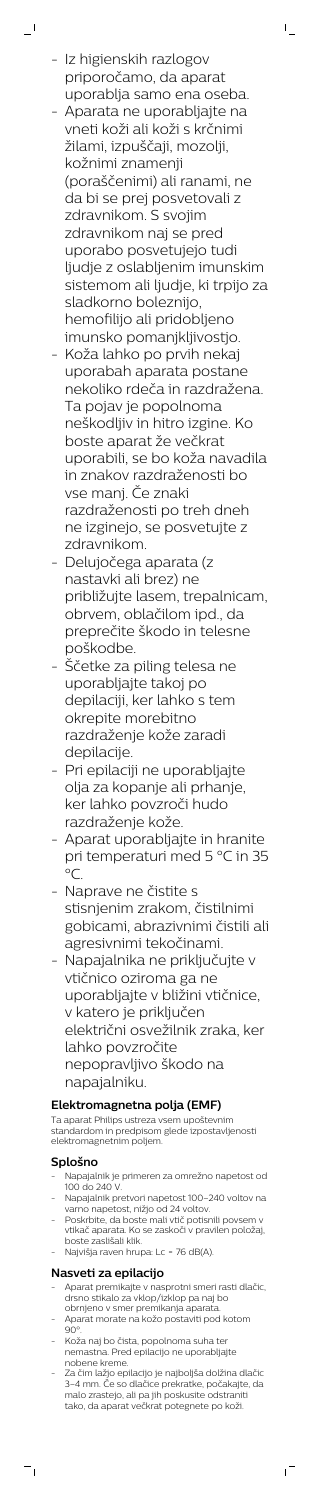- Iz higienskih razlogov priporočamo, da aparat uporablja samo ena oseba.

 $\mathbf{I}$ 

 $\mathbb{L}$ 

- Aparata ne uporabljajte na vneti koži ali koži s krčnimi žilami, izpuščaji, mozolji, kožnimi znamenji (poraščenimi) ali ranami, ne da bi se prej posvetovali z zdravnikom. S svojim zdravnikom naj se pred uporabo posvetujejo tudi ljudje z oslabljenim imunskim sistemom ali ljudje, ki trpijo za sladkorno boleznijo, hemofilijo ali pridobljeno imunsko pomanjkljivostjo.
- Koža lahko po prvih nekaj uporabah aparata postane nekoliko rdeča in razdražena. Ta pojav je popolnoma neškodljiv in hitro izgine. Ko boste aparat že večkrat uporabili, se bo koža navadila in znakov razdraženosti bo vse manj. Če znaki razdraženosti po treh dneh ne izginejo, se posvetujte z zdravnikom.
- Delujočega aparata (z nastavki ali brez) ne približujte lasem, trepalnicam, obrvem, oblačilom ipd., da preprečite škodo in telesne poškodbe.
- Ščetke za piling telesa ne uporabljajte takoj po depilaciji, ker lahko s tem okrepite morebitno razdraženje kože zaradi depilacije.
- Pri epilaciji ne uporabljajte olja za kopanje ali prhanje, ker lahko povzroči hudo razdraženje kože.
- Aparat uporabljajte in hranite pri temperaturi med 5 °C in 35  $^{\circ}C$ .
- Naprave ne čistite s stisnjenim zrakom, čistilnimi gobicami, abrazivnimi čistili ali agresivnimi tekočinami.
- Napajalnika ne priključujte v vtičnico oziroma ga ne uporabljajte v bližini vtičnice, v katero je priključen električni osvežilnik zraka, ker lahko povzročite nepopravljivo škodo na napajalniku.
	-

- Napajalnik je primeren za omrežno napetost od 100 do 240 V.
- Napajalnik pretvori napetost 100-240 voltov na varno napetost, nižjo od 24 voltov.
- Poskrbite, da boste mali vtič potisnili povsem v vtikač aparata. Ko se zaskoči v pravilen položaj, boste zaslišali klik.
- Najvišja raven hrupa: Lc = 76 dB(A).

# **Elektromagnetna polja (EMF)**

Ta aparat Philips ustreza vsem upoštevnim standardom in predpisom glede izpostavljenosti elektromagnetnim poljem.

# **Splošno**

 $\overline{a}$ 

# **Nasveti za epilacijo**

- Aparat premikajte v nasprotni smeri rasti dlačic, drsno stikalo za vklop/izklop pa naj bo obrnjeno v smer premikanja aparata.
- Aparat morate na kožo postaviti pod kotom  $90^\circ$
- Koža naj bo čista, popolnoma suha ter nemastna. Pred epilacijo ne uporabljajte nobene kreme.
- Za čim lažjo epilacijo je najboljša dolžina dlačic 3–4 mm. Če so dlačice prekratke, počakajte, da malo zrastejo, ali pa jih poskusite odstraniti tako, da aparat večkrat potegnete po koži.

 $\mathbf{r}$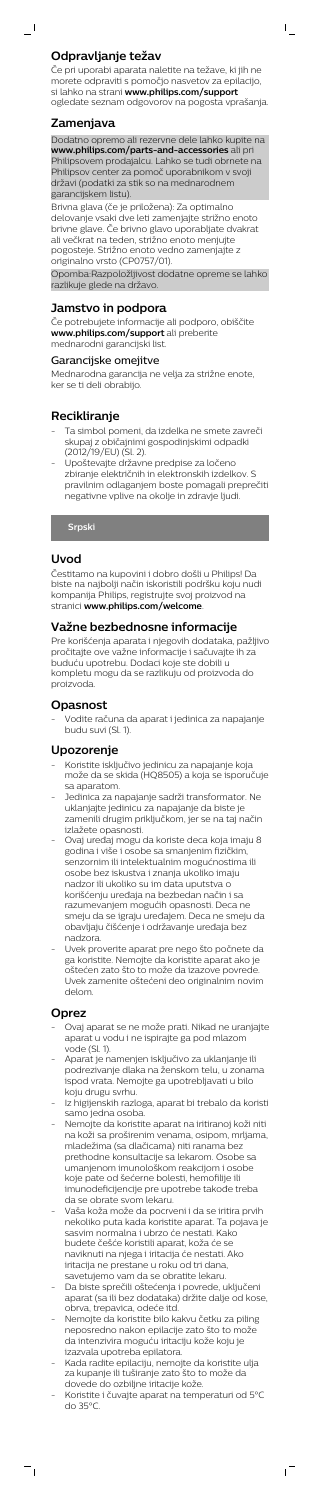Če pri uporabi aparata naletite na težave, ki jih ne morete odpraviti s pomočjo nasvetov za epilacijo, si lahko na strani **www.philips.com/support** ogledate seznam odgovorov na pogosta vprašanja.  $\mathsf{I}$ 

## **Zamenjava**

 $\overline{\phantom{0}}$ 

Dodatno opremo ali rezervne dele lahko kupite na **www.philips.com/parts-and-accessories** ali pri Philipsovem prodajalcu. Lahko se tudi obrnete na Philipsov center za pomoč uporabnikom v svoji državi (podatki za stik so na mednarodnem garancijskem listu).

Brivna glava (če je priložena): Za optimalno delovanje vsaki dve leti zamenjajte strižno enoto brivne glave. Če brivno glavo uporabljate dvakrat ali večkrat na teden, strižno enoto menjujte pogosteje. Strižno enoto vedno zamenjajte z originalno vrsto (CP0757/01).

Opomba:Razpoložljivost dodatne opreme se lahko razlikuje glede na državo.

# **Jamstvo in podpora**

Če potrebujete informacije ali podporo, obiščite **www.philips.com/support** ali preberite mednarodni garancijski list.

#### Garancijske omejitve

Mednarodna garancija ne velja za strižne enote, ker se ti deli obrabijo.

# **Recikliranje**

- Ta simbol pomeni, da izdelka ne smete zavreči skupaj z običajnimi gospodinjskimi odpadki (2012/19/EU) (Sl. 2).
- Upoštevajte državne predpise za ločeno zbiranje električnih in elektronskih izdelkov. S pravilnim odlaganjem boste pomagali preprečiti negativne vplive na okolje in zdravje ljudi.

# **Srpski**

## **Uvod**

Čestitamo na kupovini i dobro došli u Philips! Da biste na najbolji način iskoristili podršku koju nudi kompanija Philips, registrujte svoj proizvod na stranici **www.philips.com/welcome**.

#### **Važne bezbednosne informacije**

Pre korišćenja aparata i njegovih dodataka, pažljivo pročitajte ove važne informacije i sačuvajte ih za buduću upotrebu. Dodaci koje ste dobili u kompletu mogu da se razlikuju od proizvoda do proizvoda.

#### **Opasnost**

- Vodite računa da aparat i jedinica za napajanje budu suvi (Sl. 1).

## **Upozorenje**

- Koristite isključivo jedinicu za napajanje koja može da se skida (HQ8505) a koja se isporučuje sa aparatom.
- Jedinica za napajanje sadrži transformator. Ne uklanjajte jedinicu za napajanje da biste je zamenili drugim priključkom, jer se na taj način izlažete opasnosti.
- Ovaj uređaj mogu da koriste deca koja imaju 8 godina i više i osobe sa smanjenim fizičkim, senzornim ili intelektualnim mogućnostima ili osobe bez iskustva i znanja ukoliko imaju nadzor ili ukoliko su im data uputstva o korišćenju uređaja na bezbedan način i sa razumevanjem mogućih opasnosti. Deca ne smeju da se igraju uređajem. Deca ne smeju da obavljaju čišćenje i održavanje uređaja bez nadzora.
- Uvek proverite aparat pre nego što počnete da ga koristite. Nemojte da koristite aparat ako je oštećen zato što to može da izazove povrede. Uvek zamenite oštećeni deo originalnim novim delom.

#### **Oprez**

 $\frac{1}{\sqrt{2}}$ 

- Ovaj aparat se ne može prati. Nikad ne uranjajte aparat u vodu i ne ispirajte ga pod mlazom vode (Sl. 1).
- Aparat je namenjen isključivo za uklanjanje ili podrezivanje dlaka na ženskom telu, u zonama Nemojte ga upotrebljavati u bilo
- koju drugu svrhu.
- Iz higijenskih razloga, aparat bi trebalo da koristi samo jedna osoba.
- Nemojte da koristite aparat na iritiranoj koži niti na koži sa proširenim venama, osipom, mrljama, mladežima (sa dlačicama) niti ranama bez prethodne konsultacije sa lekarom. Osobe sa umanjenom imunološkom reakcijom i osobe koje pate od šećerne bolesti, hemofilije ili imunodeficijencije pre upotrebe takođe treba da se obrate svom lekaru.
- Vaša koža može da pocrveni i da se iritira prvih nekoliko puta kada koristite aparat. Ta pojava je sasvim normalna i ubrzo će nestati. Kako budete češće koristili aparat, koža će se naviknuti na njega i iritacija će nestati. Ako iritacija ne prestane u roku od tri dana, savetujemo vam da se obratite lekaru.
- Da biste sprečili oštećenja i povrede, uključeni aparat (sa ili bez dodataka) držite dalje od kose, obrva, trepavica, odeće itd.
- Nemojte da koristite bilo kakvu četku za piling neposredno nakon epilacije zato što to može da intenzivira moguću iritaciju kože koju je izazvala upotreba epilatora.
- Kada radite epilaciju, nemojte da koristite ulja za kupanje ili tuširanje zato što to može da dovede do ozbiljne iritacije kože.
- Koristite i čuvajte aparat na temperaturi od 5°C do 35°C.

 $\sqrt{ }$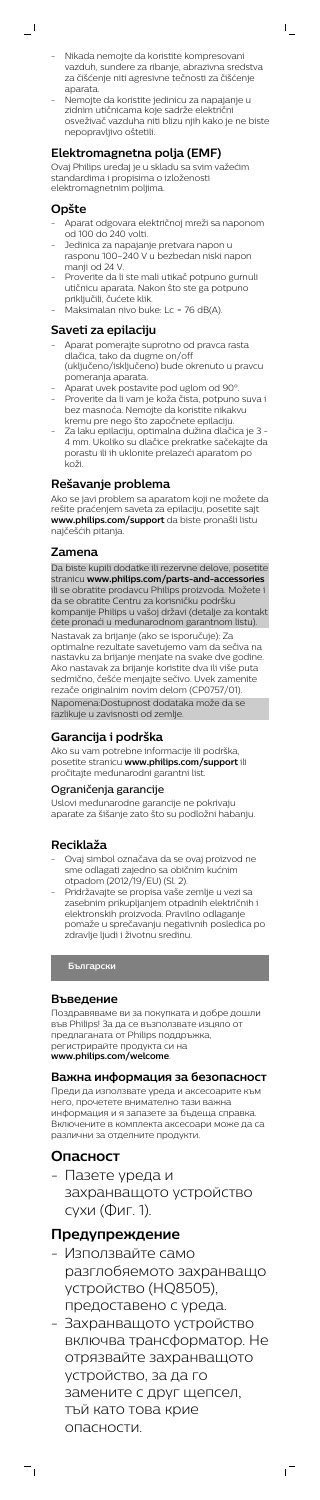- Nikada nemojte da koristite kompresovani vazduh, sunđere za ribanje, abrazivna sredstva za čišćenje niti agresivne tečnosti za čišćenje aparata.

 $\mathsf{I}$ 

- Nemojte da koristite jedinicu za napajanje u zidnim utičnicama koje sadrže električni osveživač vazduha niti blizu njih kako je ne biste nepopravljivo oštetili.

- Aparat odgovara električnoj mreži sa naponom od 100 do 240 volti.
- Jedinica za napajanje pretvara napon u rasponu 100–240 V u bezbedan niski napon manji od 24 V.
- Proverite da li ste mali utikač potpuno gurnuli utičnicu aparata. Nakon što ste ga potpuno priključili, čućete klik.
- Maksimalan nivo buke: Lc = 76 dB(A).

# **Elektromagnetna polja (EMF)**

Ovaj Philips uređaj je u skladu sa svim važećim standardima i propisima o izloženosti elektromagnetnim poljima.

## **Opšte**

 $\overline{\phantom{a}}$  (

## **Saveti za epilaciju**

- Aparat pomerajte suprotno od pravca rasta dlačica, tako da dugme on/off (uključeno/isključeno) bude okrenuto u pravcu pomeranja aparata.
- Aparat uvek postavite pod uglom od 90°. - Proverite da li vam je koža čista, potpuno suva i bez masnoća. Nemojte da koristite nikakvu kremu pre nego što započnete epilaciju.
- Za laku epilaciju, optimalna dužina dlačica je 3 4 mm. Ukoliko su dlačice prekratke sačekajte da porastu ili ih uklonite prelazeći aparatom po koži.

# **Rešavanje problema**

Ako se javi problem sa aparatom koji ne možete da rešite praćenjem saveta za epilaciju, posetite sajt **www.philips.com/support** da biste pronašli listu najčešćih pitanja.

## **Zamena**

Da biste kupili dodatke ili rezervne delove, posetite stranicu **www.philips.com/parts-and-accessories** ili se obratite prodavcu Philips proizvoda. Možete i da se obratite Centru za korisničku podršku kompanije Philips u vašoj državi (detalje za kontakt ćete pronaći u međunarodnom garantnom listu). Nastavak za brijanje (ako se isporučuje): Za optimalne rezultate savetujemo vam da sečiva na nastavku za brijanje menjate na svake dve godine. Ako nastavak za brijanje koristite dva ili više puta sedmično, češće menjajte sečivo. Uvek zamenite rezače originalnim novim delom (CP0757/01). Napomena:Dostupnost dodataka može da se razlikuje u zavisnosti od zemlje.

## **Garancija i podrška**

Ako su vam potrebne informacije ili podrška, posetite stranicu **www.philips.com/support** ili pročitajte međunarodni garantni list.

#### Ograničenja garancije

Uslovi međunarodne garancije ne pokrivaju aparate za šišanje zato što su podložni habanju.

# **Reciklaža**

- Ovaj simbol označava da se ovaj proizvod ne sme odlagati zajedno sa običnim kućnim otpadom (2012/19/EU) (Sl. 2).
- Pridržavajte se propisa vaše zemlje u vezi sa zasebnim prikupljanjem otpadnih električnih i elektronskih proizvoda. Pravilno odlaganje pomaže u sprečavanju negativnih posledica po zdravlje ljudi i životnu sredinu.

**Български**

#### **Въведение**

Поздравяваме ви за покупката и добре дошли във Philips! За да се възползвате изцяло от предлаганата от Philips поддръжка, регистрирайте продукта си на

**www.philips.com/welcome**.

#### **Важна информация за безопасност**

Преди да използвате уреда и аксесоарите към него, прочетете внимателно тази важна информация и я запазете за бъдеща справка. Включените в комплекта аксесоари може да са различни за отделните продукти.

# **Опасност**

 $\overline{\phantom{a}}$ 

- Пазете уреда и захранващото устройство сухи (Фиг. 1).

# **Предупреждение**

- Използвайте само разглобяемото захранващо устройство (HQ8505), предоставено с уреда.
- Захранващото устройство включва трансформатор. Не отрязвайте захранващото устройство, за да го замените с друг щепсел, тъй като това крие опасности.

ıT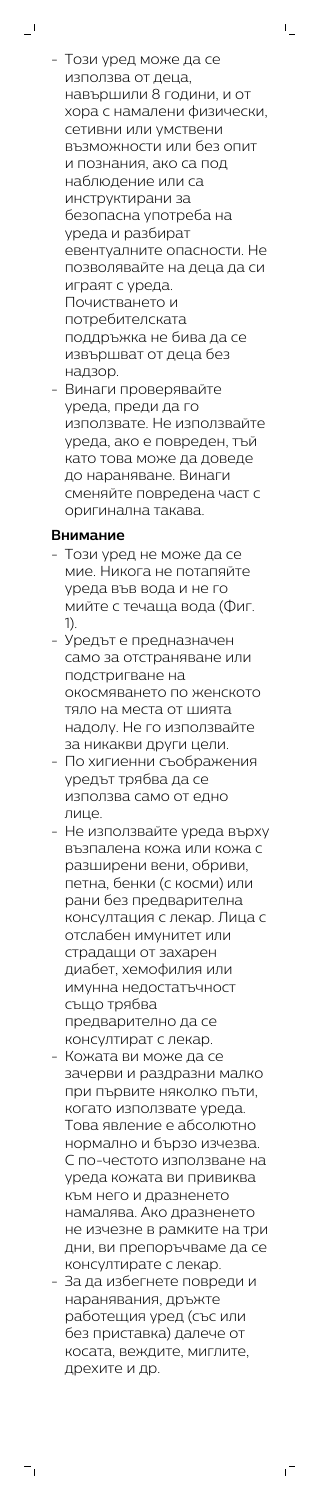- Този уред може да се използва от деца, навършили 8 години, и от хора с намалени физически, сетивни или умствени възможности или без опит и познания, ако са под наблюдение или са инструктирани за безопасна употреба на уреда и разбират евентуалните опасности. Не позволявайте на деца да си играят с уреда. Почистването и потребителската поддръжка не бива да се извършват от деца без надзор.

 $\mathsf{L}$ 

- Винаги проверявайте уреда, преди да го използвате. Не използвайте уреда, ако е повреден, тъй като това може да доведе до нараняване. Винаги сменяйте повредена част с оригинална такава.

# **Внимание**

 $\overline{\phantom{0}}$ 

- Този уред не може да се мие. Никога не потапяйте уреда във вода и не го мийте с течаща вода (Фиг. 1).
- Уредът е предназначен само за отстраняване или подстригване на окосмяването по женското тяло на места от шията надолу. Не го използвайте за никакви други цели.
- По хигиенни съображения уредът трябва да се използва само от едно лице.
- Не използвайте уреда върху възпалена кожа или кожа с разширени вени, обриви, петна, бенки (с косми) или рани без предварителна консултация с лекар. Лица с отслабен имунитет или страдащи от захарен диабет, хемофилия или имунна недостатъчност също трябва предварително да се консултират с лекар.
- Кожата ви може да се зачерви и раздразни малко

при първите няколко пъти, когато използвате уреда. Това явление е абсолютно нормално и бързо изчезва. С по-честото използване на уреда кожата ви привиква към него и дразненето намалява. Ако дразненето не изчезне в рамките на три дни, ви препоръчваме да се консултирате с лекар.

- За да избегнете повреди и наранявания, дръжте работещия уред (със или без приставка) далече от косата, веждите, миглите, дрехите и др.

 $^{-}$ 

 $\equiv$ <sub>1</sub>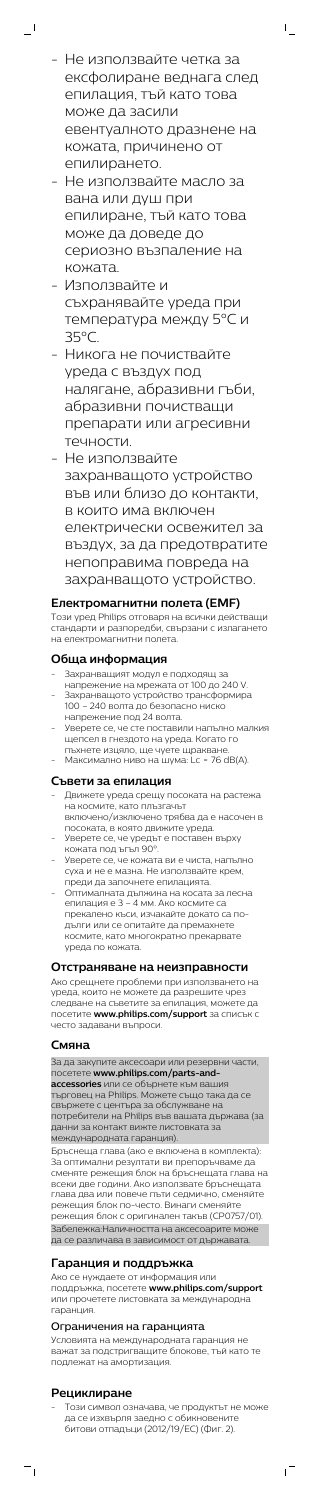- Не използвайте четка за ексфолиране веднага след епилация, тъй като това може да засили евентуалното дразнене на кожата, причинено от епилирането.

 $\overline{\phantom{0}}$ 

 $\mathbf{L}$ 

- Не използвайте масло за вана или душ при епилиране, тъй като това може да доведе до сериозно възпаление на кожата.
- Използвайте и съхранявайте уреда при температура между 5°C и 35°C.
- Никога не почиствайте уреда с въздух под налягане, абразивни гъби, абразивни почистващи препарати или агресивни течности.
- Не използвайте захранващото устройство във или близо до контакти, в които има включен електрически освежител за въздух, за да предотвратите непоправима повреда на захранващото устройство.

- Захранващият модул е подходящ за
- напрежение на мрежата от 100 до 240 V. - Захранващото устройство трансформира 100 – 240 волта до безопасно ниско напрежение под 24 волта.
- Уверете се, че сте поставили напълно малкия щепсел в гнездото на уреда. Когато го
- пъхнете изцяло, ще чуете щракване. Максимално ниво на шума: Lc = 76 dB(A).

## **Електромагнитни полета (EMF)**

Този уред Philips отговаря на всички действащи стандарти и разпоредби, свързани с излагането на електромагнитни полета.

## **Обща информация**

# **Съвети за епилация**

- Движете уреда срещу посоката на растежа на космите, като плъзгачът включено/изключено трябва да е насочен в
- посоката, в която движите уреда. - Уверете се, че уредът е поставен върху
- кожата под ъгъл 90°.
- Уверете се, че кожата ви е чиста, напълно суха и не е мазна. Не използвайте крем, преди да започнете епилацията.
- Оптималната дължина на косата за лесна епилация е 3 – 4 мм. Ако космите са прекалено къси, изчакайте докато са подълги или се опитайте да премахнете космите, като многократно прекарвате уреда по кожата.

## **Отстраняване на неизправности**

Ако срещнете проблеми при използването на уреда, които не можете да разрешите чрез следване на съветите за епилация, можете да посетите **www.philips.com/support** за списък с често задавани въпроси.

## **Смяна**

За да закупите аксесоари или резервни части, посетете **www.philips.com/parts-andaccessories** или се обърнете към вашия ---<br>търговец на Philips. Можете също така да се свържете с центъра за обслужване на потребители на Philips във вашата държава (за данни за контакт вижте листовката за международната гаранция). Бръснеща глава (ако е включена в комплекта): За оптимални резултати ви препоръчваме да сменяте режещия блок на бръснещата глава на всеки две години. Ако използвате бръснещата глава два или повече пъти седмично, сменяйте режещия блок по-често. Винаги сменяйте режещия блок с оригинален такъв (CP0757/01).

Забележка:Наличността на аксесоарите може да се различава в зависимост от държавата.

# **Гаранция и поддръжка**

Ако се нуждаете от информация или поддръжка, посетете **www.philips.com/support** или прочетете листовката за международна гаранция.

#### Ограничения на гаранцията

Условията на международната гаранция не важат за подстригващите блокове, тъй като те подлежат на амортизация.

## **Рециклиране**

 $\overline{\phantom{a}}$ 

- Този символ означава, че продуктът не може да се изхвърля заедно с обикновените битови отпадъци (2012/19/ЕС) (Фиг. 2).

 $\sqrt{2}$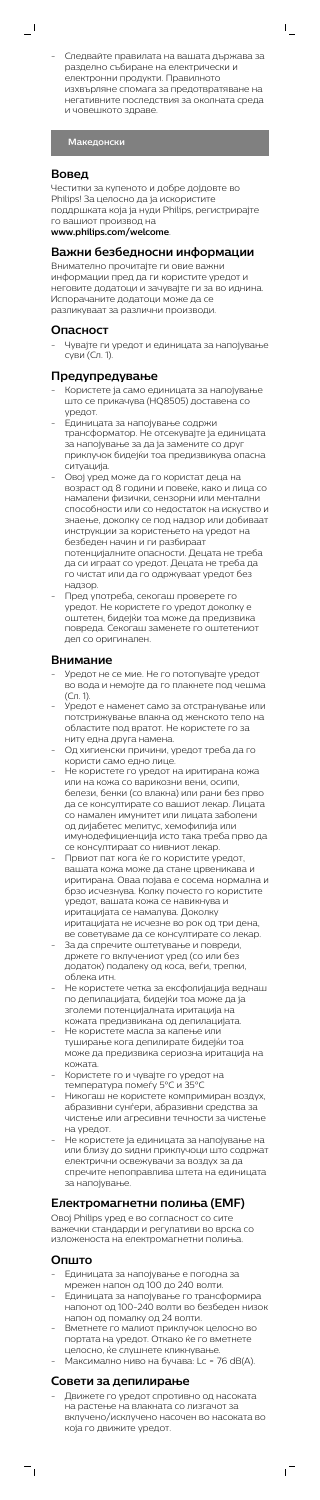- Следвайте правилата на вашата държава за разделно събиране на електрически и електронни продукти. Правилното изхвърляне спомага за предотвратяване на негативните последствия за околната среда и човешкото здраве.

 $\mathsf{L}$ 

**Македонски**

#### **Вовед**

 $\overline{\phantom{0}}$ 

Честитки за купеното и добре дојдовте во Philips! За целосно да ја искористите поддршката која ја нуди Philips, регистрирајте го вашиот производ на

**www.philips.com/welcome**.

#### **Важни безбедносни информации**

Внимателно прочитајте ги овие важни информации пред да ги користите уредот и неговите додатоци и зачувајте ги за во иднина. Испорачаните додатоци може да се разликуваат за различни производи.

## **Опасност**

- Чувајте ги уредот и единицата за напојување суви (Сл. 1).

## **Предупредување**

- Користете ја само единицата за напојување што се прикачува (HQ8505) доставена со уредот.
- Единицата за напојување содржи трансформатор. Не отсекувајте ја единицата за напојување за да ја замените со друг приклучок бидејќи тоа предизвикува опасна ситуација.
- Овој уред може да го користат деца на возраст од 8 години и повеќе, како и лица со намалени физички, сензорни или ментални способности или со недостаток на искуство и знаење, доколку се под надзор или добиваат инструкции за користењето на уредот на безбеден начин и ги разбираат потенцијалните опасности. Децата не треба да си играат со уредот. Децата не треба да
	- го чистат или да го одржуваат уредот без надзор. - Пред употреба, секогаш проверете го
- уредот. Не користете го уредот доколку е оштетен, бидејќи тоа може да предизвика повреда. Секогаш заменете го оштетениот дел со оригинален.

#### **Внимание**

- Единицата за напојување е погодна за мрежен напон од 100 до 240 волти.
- Единицата за напојување го трансформира напонот од 100-240 волти во безбеден низок напон од помалку од 24 волти.
- Вметнете го малиот приклучок целосно во портата на уредот. Откако ќе го вметнете целосно, ќе слушнете кликнување.
- Максимално ниво на бучава: Lc = 76 dB(A).
- Уредот не се мие. Не го потопувајте уредот во вода и немојте да го плакнете под чешма (Сл. 1).
- Уредот е наменет само за отстранување или потстрижување влакна од женското тело на областите под вратот. Не користете го за ниту една друга намена.
- Од хигиенски причини, уредот треба да го користи само едно лице.
- Не користете го уредот на иритирана кожа или на кожа со варикозни вени, осипи, белези, бенки (со влакна) или рани без прво да се консултирате со вашиот лекар. Лицата со намален имунитет или лицата заболени од дијабетес мелитус, хемофилија или имунодефициенција исто така треба прво да се консултираат со нивниот лекар.
- Првиот пат кога ќе го користите уредот, вашата кожа може да стане црвеникава и иритирана. Оваа појава е сосема нормална и брзо исчезнува. Колку почесто го користите уредот, вашата кожа се навикнува и иритацијата се намалува. Доколку иритацијата не исчезне во рок од три дена,
- ве советуваме да се консултирате со лекар. За да спречите оштетување и повреди, држете го вклучениот уред (со или без додаток) подалеку од коса, веѓи, трепки, облека итн.
- Не користете четка за ексфолијација веднаш по депилацијата, бидејќи тоа може да ја зголеми потенцијалната иритација на кожата предизвикана од депилацијата.
- Не користете масла за капење или туширање кога депилирате бидејќи тоа може да предизвика сериозна иритација на кожата.
- Користете го и чувајте го уредот на
- температура помеѓу 5°C и 35°C
- Никогаш не користете компримиран воздух, абразивни сунѓери, абразивни средства за чистење или агресивни течности за чистењ на уредот.
- Не користете ја единицата за напојување на или близу до ѕидни приклучоци што содржат електрични освежувачи за воздух за да спречите непоправлива штета на единицата за напојување.

## **Електромагнетни полиња (EMF)**

Овој Philips уред е во согласност со сите важечки стандарди и регулативи во врска со изложеноста на електромагнетни полиња.

# **Општо**

 $\overline{a}$ 

# **Совети за депилирање**

- Движете го уредот спротивно од насоката на растење на влакната со лизгачот за вклучено/исклучено насочен во насоката во која го движите уредот.

 $\mathbf{r}$